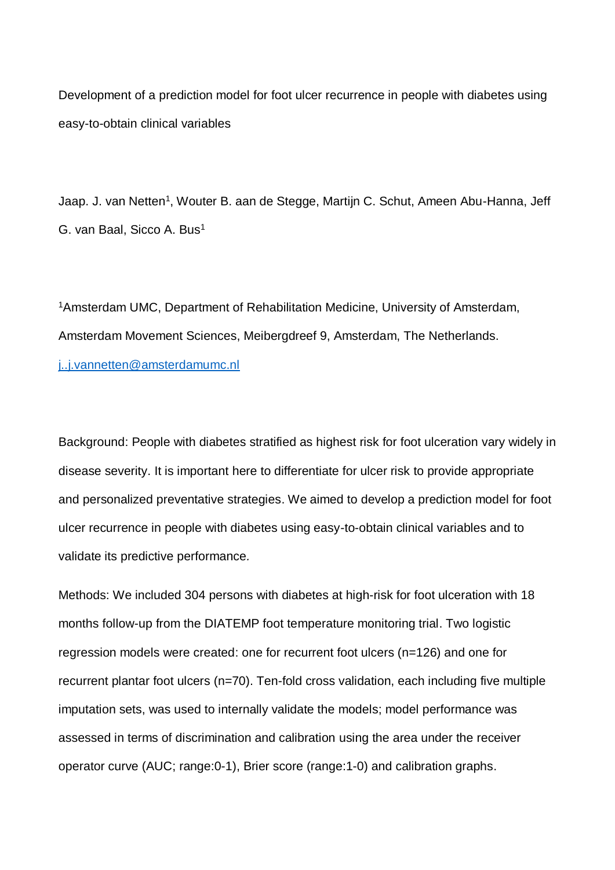Development of a prediction model for foot ulcer recurrence in people with diabetes using easy-to-obtain clinical variables

Jaap. J. van Netten<sup>1</sup>, Wouter B. aan de Stegge, Martijn C. Schut, Ameen Abu-Hanna, Jeff G. van Baal, Sicco A. Bus<sup>1</sup>

<sup>1</sup>Amsterdam UMC, Department of Rehabilitation Medicine, University of Amsterdam, Amsterdam Movement Sciences, Meibergdreef 9, Amsterdam, The Netherlands. [j..j.vannetten@amsterdamumc.nl](mailto:j..j.vannetten@amsterdamumc.nl)

Background: People with diabetes stratified as highest risk for foot ulceration vary widely in disease severity. It is important here to differentiate for ulcer risk to provide appropriate and personalized preventative strategies. We aimed to develop a prediction model for foot ulcer recurrence in people with diabetes using easy-to-obtain clinical variables and to validate its predictive performance*.*

Methods: We included 304 persons with diabetes at high-risk for foot ulceration with 18 months follow-up from the DIATEMP foot temperature monitoring trial. Two logistic regression models were created: one for recurrent foot ulcers (n=126) and one for recurrent plantar foot ulcers (n=70). Ten-fold cross validation, each including five multiple imputation sets, was used to internally validate the models; model performance was assessed in terms of discrimination and calibration using the area under the receiver operator curve (AUC; range:0-1), Brier score (range:1-0) and calibration graphs.